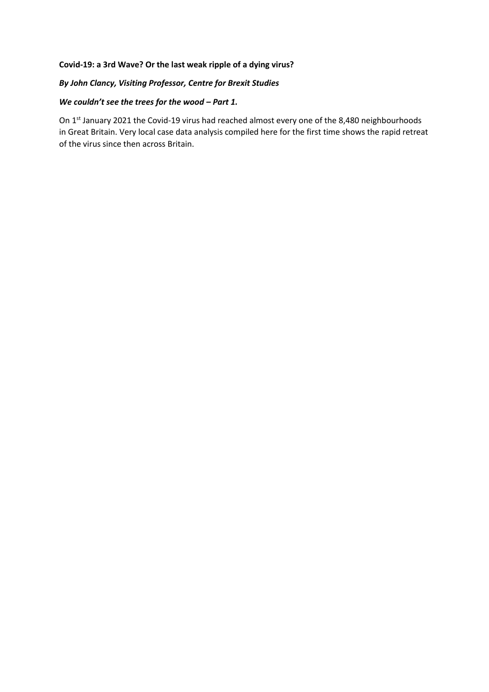## **Covid-19: a 3rd Wave? Or the last weak ripple of a dying virus?**

## *By John Clancy, Visiting Professor, Centre for Brexit Studies*

## *We couldn't see the trees for the wood – Part 1.*

On 1<sup>st</sup> January 2021 the Covid-19 virus had reached almost every one of the 8,480 neighbourhoods in Great Britain. Very local case data analysis compiled here for the first time shows the rapid retreat of the virus since then across Britain.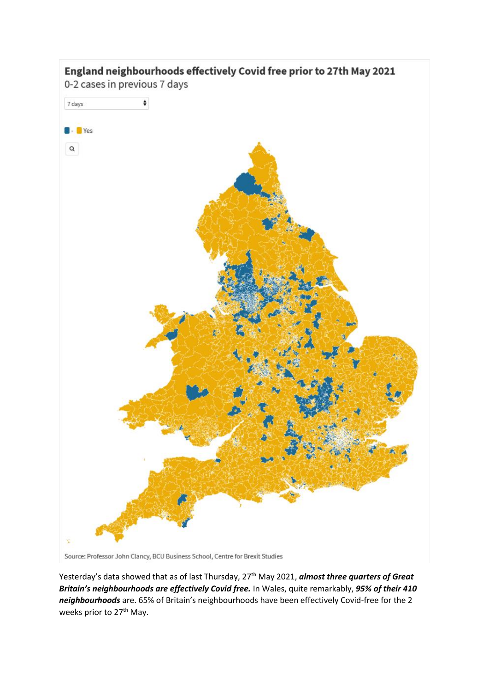

Source: Professor John Clancy, BCU Business School, Centre for Brexit Studies

Yesterday's data showed that as of last Thursday, 27<sup>th</sup> May 2021, *almost three quarters of Great Britain's neighbourhoods are effectively Covid free.* In Wales, quite remarkably, *95% of their 410 neighbourhoods* are. 65% of Britain's neighbourhoods have been effectively Covid-free for the 2 weeks prior to 27<sup>th</sup> May.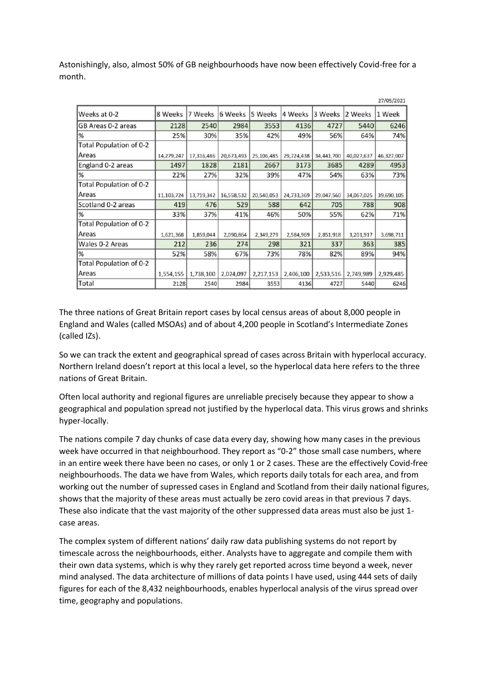Astonishingly, also, almost 50% of GB neighbourhoods have now been effectively Covid-free for a month.

|                         |            |            |            |            |            |            |            | 27/05/2021 |
|-------------------------|------------|------------|------------|------------|------------|------------|------------|------------|
| Weeks at 0-2            | 8 Weeks    | 7 Weeks    | 6 Weeks    | 5 Weeks    | 4 Weeks    | 3 Weeks    | 2 Weeks    | 1 Week     |
| GB Areas 0-2 areas      | 2128       | 2540       | 2984       | 3553       | 4136       | 4727       | 5440       | 6246       |
| %                       | 25%        | 30%        | 35%        | 42%        | 49%        | 56%        | 64%        | 74%        |
| Total Population of 0-2 |            |            |            |            |            |            |            |            |
| Areas                   | 14,279,247 | 17,316,486 | 20,673,493 | 25,106,485 | 29,724,438 | 34,441,700 | 40,027,637 | 46,327,007 |
| England 0-2 areas       | 1497       | 1828       | 2181       | 2667       | 3173       | 3685       | 4289       | 4953       |
| $\frac{9}{6}$           | 22%        | 27%        | 32%        | 39%        | 47%        | 54%        | 63%        | 73%        |
| Total Population of 0-2 |            |            |            |            |            |            |            |            |
| Areas                   | 11,103,724 | 13,719,342 | 16,558,532 | 20,540,053 | 24,733,369 | 29,047,560 | 34,067,025 | 39,690,105 |
| Scotland 0-2 areas      | 419        | 476        | 529        | 588        | 642        | 705        | 788        | 908        |
| %                       | 33%        | 37%        | 41%        | 46%        | 50%        | 55%        | 62%        | 71%        |
| Total Population of 0-2 |            |            |            |            |            |            |            |            |
| Areas                   | 1,621,368  | 1,859,044  | 2,090,864  | 2,349,279  | 2,584,969  | 2,851,918  | 3,201,917  | 3,698,711  |
| Wales 0-2 Areas         | 212        | 236        | 274        | 298        | 321        | 337        | 363        | 385        |
| %                       | 52%        | 58%        | 67%        | 73%        | 78%        | 82%        | 89%        | 94%        |
| Total Population of 0-2 |            |            |            |            |            |            |            |            |
| Areas                   | 1,554,155  | 1,738,100  | 2,024,097  | 2,217,153  | 2,406,100  | 2,533,516  | 2,749,989  | 2,929,485  |
| Total                   | 2128       | 2540       | 2984       | 3553       | 4136       | 4727       | 5440       | 6246       |

The three nations of Great Britain report cases by local census areas of about 8,000 people in England and Wales (called MSOAs) and of about 4,200 people in Scotland's Intermediate Zones (called IZs).

So we can track the extent and geographical spread of cases across Britain with hyperlocal accuracy. Northern Ireland doesn't report at this local a level, so the hyperlocal data here refers to the three nations of Great Britain.

Often local authority and regional figures are unreliable precisely because they appear to show a geographical and population spread not justified by the hyperlocal data. This virus grows and shrinks hyper-locally.

The nations compile 7 day chunks of case data every day, showing how many cases in the previous week have occurred in that neighbourhood. They report as "0-2" those small case numbers, where in an entire week there have been no cases, or only 1 or 2 cases. These are the effectively Covid-free neighbourhoods. The data we have from Wales, which reports daily totals for each area, and from working out the number of supressed cases in England and Scotland from their daily national figures, shows that the majority of these areas must actually be zero covid areas in that previous 7 days. These also indicate that the vast majority of the other suppressed data areas must also be just 1 case areas.

The complex system of different nations' daily raw data publishing systems do not report by timescale across the neighbourhoods, either. Analysts have to aggregate and compile them with their own data systems, which is why they rarely get reported across time beyond a week, never mind analysed. The data architecture of millions of data points I have used, using 444 sets of daily figures for each of the 8,432 neighbourhoods, enables hyperlocal analysis of the virus spread over time, geography and populations.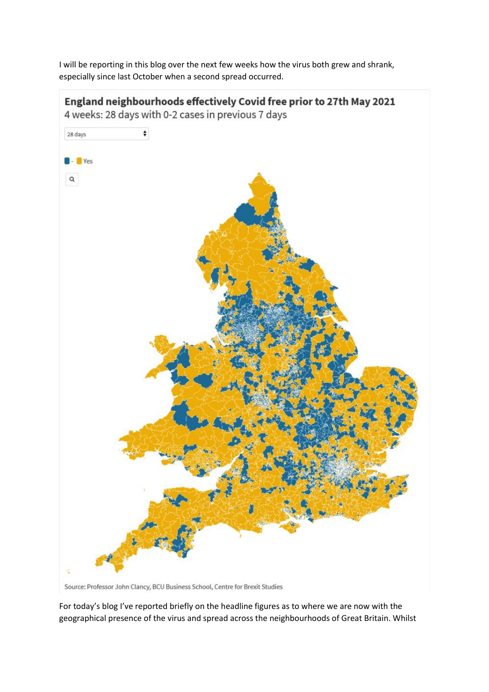I will be reporting in this blog over the next few weeks how the virus both grew and shrank, especially since last October when a second spread occurred.



Source: Professor John Clancy, BCU Business School, Centre for Brexit Studies

For today's blog I've reported briefly on the headline figures as to where we are now with the geographical presence of the virus and spread across the neighbourhoods of Great Britain. Whilst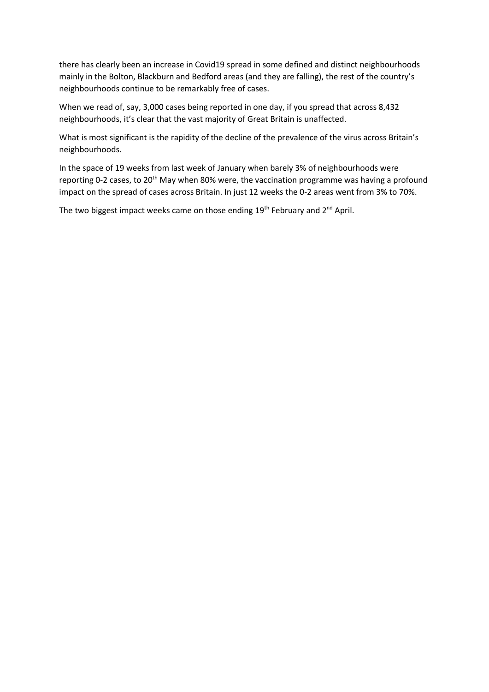there has clearly been an increase in Covid19 spread in some defined and distinct neighbourhoods mainly in the Bolton, Blackburn and Bedford areas (and they are falling), the rest of the country's neighbourhoods continue to be remarkably free of cases.

When we read of, say, 3,000 cases being reported in one day, if you spread that across 8,432 neighbourhoods, it's clear that the vast majority of Great Britain is unaffected.

What is most significant is the rapidity of the decline of the prevalence of the virus across Britain's neighbourhoods.

In the space of 19 weeks from last week of January when barely 3% of neighbourhoods were reporting 0-2 cases, to 20<sup>th</sup> May when 80% were, the vaccination programme was having a profound impact on the spread of cases across Britain. In just 12 weeks the 0-2 areas went from 3% to 70%.

The two biggest impact weeks came on those ending 19<sup>th</sup> February and 2<sup>nd</sup> April.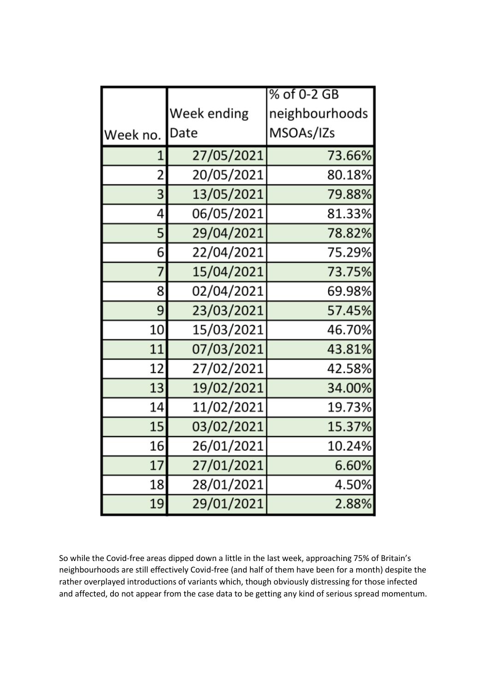|          |             | % of 0-2 GB    |  |  |  |
|----------|-------------|----------------|--|--|--|
|          | Week ending | neighbourhoods |  |  |  |
| Week no. | Date        | MSOAs/IZs      |  |  |  |
| 1        | 27/05/2021  | 73.66%         |  |  |  |
| 2        | 20/05/2021  | 80.18%         |  |  |  |
| 3        | 13/05/2021  | 79.88%         |  |  |  |
| 4        | 06/05/2021  | 81.33%         |  |  |  |
| 5        | 29/04/2021  | 78.82%         |  |  |  |
| 6        | 22/04/2021  | 75.29%         |  |  |  |
| 7        | 15/04/2021  | 73.75%         |  |  |  |
| 8        | 02/04/2021  | 69.98%         |  |  |  |
| 9        | 23/03/2021  | 57.45%         |  |  |  |
| 10       | 15/03/2021  | 46.70%         |  |  |  |
| 11       | 07/03/2021  | 43.81%         |  |  |  |
| 12       | 27/02/2021  | 42.58%         |  |  |  |
| 13       | 19/02/2021  | 34.00%         |  |  |  |
| 14       | 11/02/2021  | 19.73%         |  |  |  |
| 15       | 03/02/2021  | 15.37%         |  |  |  |
| 16       | 26/01/2021  | 10.24%         |  |  |  |
| 17       | 27/01/2021  | 6.60%          |  |  |  |
| 18       | 28/01/2021  | 4.50%          |  |  |  |
| 19       | 29/01/2021  | 2.88%          |  |  |  |

So while the Covid-free areas dipped down a little in the last week, approaching 75% of Britain's neighbourhoods are still effectively Covid-free (and half of them have been for a month) despite the rather overplayed introductions of variants which, though obviously distressing for those infected and affected, do not appear from the case data to be getting any kind of serious spread momentum.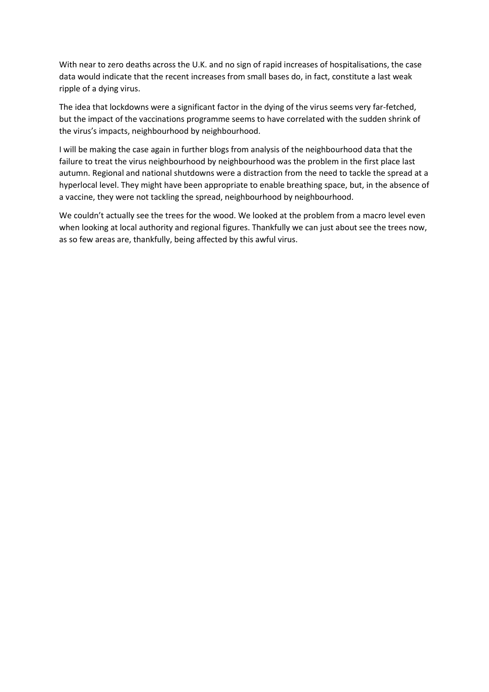With near to zero deaths across the U.K. and no sign of rapid increases of hospitalisations, the case data would indicate that the recent increases from small bases do, in fact, constitute a last weak ripple of a dying virus.

The idea that lockdowns were a significant factor in the dying of the virus seems very far-fetched, but the impact of the vaccinations programme seems to have correlated with the sudden shrink of the virus's impacts, neighbourhood by neighbourhood.

I will be making the case again in further blogs from analysis of the neighbourhood data that the failure to treat the virus neighbourhood by neighbourhood was the problem in the first place last autumn. Regional and national shutdowns were a distraction from the need to tackle the spread at a hyperlocal level. They might have been appropriate to enable breathing space, but, in the absence of a vaccine, they were not tackling the spread, neighbourhood by neighbourhood.

We couldn't actually see the trees for the wood. We looked at the problem from a macro level even when looking at local authority and regional figures. Thankfully we can just about see the trees now, as so few areas are, thankfully, being affected by this awful virus.